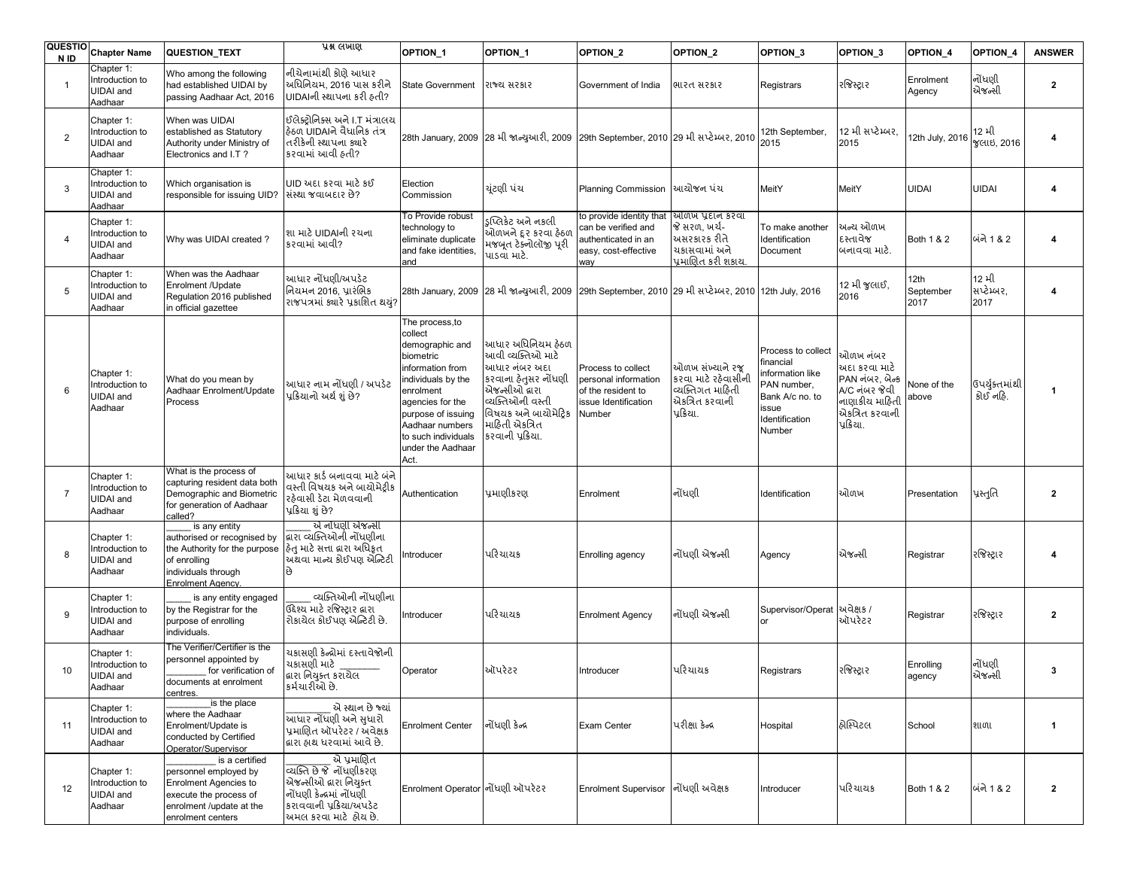| <b>QUESTIO</b><br>N ID | <b>Chapter Name</b>                                          | QUESTION_TEXT                                                                                                                                      | પ્રશ્ન લખાણ                                                                                                                                             | OPTION_1                                                                                                                                                                                                                           | OPTION_1                                                                                                                                                                            | OPTION_2                                                                                              | OPTION_2                                                                                    | OPTION <sub>3</sub>                                                                                                        | OPTION <sub>3</sub>                                                                                             | OPTION 4                  | <b>OPTION 4</b>             | <b>ANSWER</b>  |
|------------------------|--------------------------------------------------------------|----------------------------------------------------------------------------------------------------------------------------------------------------|---------------------------------------------------------------------------------------------------------------------------------------------------------|------------------------------------------------------------------------------------------------------------------------------------------------------------------------------------------------------------------------------------|-------------------------------------------------------------------------------------------------------------------------------------------------------------------------------------|-------------------------------------------------------------------------------------------------------|---------------------------------------------------------------------------------------------|----------------------------------------------------------------------------------------------------------------------------|-----------------------------------------------------------------------------------------------------------------|---------------------------|-----------------------------|----------------|
| $\overline{1}$         | Chapter 1:<br>Introduction to<br><b>UIDAI</b> and<br>Aadhaar | Who among the following<br>had established UIDAI by<br>passing Aadhaar Act, 2016                                                                   | નીચેનામાંથી કોણે આધાર<br>અધિનિયમ, 2016 પાસ કરીને<br>UIDAIની સ્થાપના કરી હતી?                                                                            | <b>State Government</b>                                                                                                                                                                                                            | રાજ્ય સરકાર                                                                                                                                                                         | Government of India                                                                                   | ભારત સરકાર                                                                                  | Registrars                                                                                                                 | રજિસ્ટ્રાર                                                                                                      | Enrolment<br>Agency       | નોંધણી<br>એજન્સી            | $\overline{2}$ |
| $\overline{2}$         | Chapter 1:<br>Introduction to<br><b>UIDAI</b> and<br>Aadhaar | When was UIDAI<br>established as Statutory<br>Authority under Ministry of<br>Electronics and I.T?                                                  | ઇલેક્ટોનિક્સ અને I.T મંત્રાલય<br>કિઠળ UIDAIને વૈધાનિક તંત્ર<br>તરીકેની સ્થાપના ક્યારે<br>કરવામાં આવી હતી?                                               |                                                                                                                                                                                                                                    | 28th January, 2009 28 મી જાન્યુઆરી, 2009 29th September, 2010 29 મી સપ્ટેમ્બર, 2010                                                                                                 |                                                                                                       |                                                                                             | 12th September,<br>2015                                                                                                    | 12 મી સપ્ટેમ્બર.<br>2015                                                                                        | 2th July, 2016            | 12 મી<br>જલાઇ, 2016         | 4              |
| 3                      | Chapter 1:<br>Introduction to<br><b>UIDAI</b> and<br>Aadhaar | Which organisation is<br>responsible for issuing UID?                                                                                              | UID અદા કરવા માટે કઈ<br>સંસ્થા જવાબદાર છે?                                                                                                              | Election<br>Commission                                                                                                                                                                                                             | યુંટણી પંચ                                                                                                                                                                          | Planning Commission                                                                                   | આયોજન પંચ                                                                                   | MeitY                                                                                                                      | MeitY                                                                                                           | <b>JIDAI</b>              | <b>UIDAI</b>                | 4              |
| $\overline{4}$         | Chapter 1:<br>Introduction to<br><b>UIDAI</b> and<br>Aadhaar | Why was UIDAI created?                                                                                                                             | શા માટે UIDAIની રચના<br>કરવામાં આવી?                                                                                                                    | To Provide robust<br>technology to<br>eliminate duplicate<br>and fake identities,<br>and                                                                                                                                           | ડપ્લિકેટ અને નકલી<br>ઓળખને દૂર કરવા હેઠળ<br>મજબૂત ટેક્નોલૉજી પૂરી<br>પાડવા માટે.                                                                                                    | to provide identity that<br>can be verified and<br>authenticated in an<br>easy, cost-effective<br>way | ઓળખ પ્રદાન કરવા<br>જે સરળ, ખર્ચ-<br>અસરકારક રીતે<br>ચકાસવામાં અને<br>પ્રમાણિત કરી શકાય.     | To make another<br>Identification<br>Document                                                                              | અન્ય ઓળખ<br>દસ્તાવેજ<br>બનાવવા માટે.                                                                            | Both 1 & 2                | બંને 1 & 2                  | 4              |
| 5                      | Chapter 1:<br>Introduction to<br><b>UIDAI</b> and<br>Aadhaar | When was the Aadhaar<br>Enrolment /Update<br>Regulation 2016 published<br>in official gazettee                                                     | આધાર નોંધણી/અપડેટ<br>નિયમન 2016, પ્રારંભિક<br>રાજપત્રમાં ક્યારે પ્રકાશિત થયું?                                                                          |                                                                                                                                                                                                                                    | 28th January, 2009  28 મી જાન્ચુઆરી, 2009  29th September, 2010  29 મી સપ્ટેમ્બર, 2010  12th July, 2016                                                                             |                                                                                                       |                                                                                             |                                                                                                                            | 12 મી જલાઈ.<br>2016                                                                                             | 12th<br>September<br>2017 | 12 મી<br>સપ્ટેમ્બર,<br>2017 | 4              |
| 6                      | Chapter 1:<br>Introduction to<br><b>UIDAI</b> and<br>Aadhaar | What do you mean by<br>Aadhaar Enrolment/Update<br>Process                                                                                         | આધાર નામ નોંધણી / અપડેટ<br>પ્રક્રિયાનો અર્થ શું છે?                                                                                                     | The process, to<br>collect<br>demographic and<br>biometric<br>information from<br>individuals by the<br>enrolment<br>agencies for the<br>purpose of issuing<br>Aadhaar numbers<br>to such individuals<br>under the Aadhaar<br>Act. | આધાર અધિનિયમ હેઠળ<br>આવી વ્યક્તિઓ માટે<br>આધાર નંબર અદા<br>કરવાના હેતુસર નોંધણી<br>એજન્સીઓ દ્વારા<br>વ્યક્તિઓની વસ્તી<br>વિષયક અને બાયોમેટિક<br>માહિતી એકત્રિત<br>કરવાની પ્રક્રિયા. | Process to collect<br>personal information<br>of the resident to<br>issue Identification<br>Number    | ઓળખ સંખ્યાને રજ<br>કરવા માટે રઠેવાસીંની<br>વ્યક્તિગત માહિતી<br>એકત્રિત કરવાની<br>પ્રક્રિયા. | Process to collect<br>financial<br>information like<br>PAN number,<br>Bank A/c no. to<br>issue<br>Identification<br>Number | ઓળખ નંબર<br>અદા કરવા માટે<br>PAN નંબર, બેન્ક<br>A/C નંબર જેવી<br>નાણાકીય માહિતી<br>એકત્રિત કરવાની<br>પ્રક્રિયા. | None of the<br>above      | ઉપર્યુક્તમાંથી<br>કોઈ નહિ.  | 1              |
| $\overline{7}$         | Chapter 1:<br>Introduction to<br><b>UIDAI</b> and<br>Aadhaar | What is the process of<br>capturing resident data both<br>Demographic and Biometric<br>for generation of Aadhaar<br>called?                        | આધાર કાર્ડ બનાવવા માટે બંને<br>વસ્તી વિષયક અને બાયોમેટ્રીક<br>રહેવાસી ડેટા મેળવવાની<br>પ્રક્રિયા શું છે?                                                | Authentication                                                                                                                                                                                                                     | પ્રમાણીકરણ                                                                                                                                                                          | Enrolment                                                                                             | નોંધણી                                                                                      | Identification                                                                                                             | ઓળખ                                                                                                             | Presentation              | પ્રસ્તુતિ                   | $\mathbf{2}$   |
| 8                      | Chapter 1:<br>Introduction to<br><b>UIDAI</b> and<br>Aadhaar | is any entity<br>authorised or recognised by<br>the Authority for the purpose<br>of enrolling<br>individuals through<br><b>Enrolment Agency</b>    | એ નોંધણી એજન્સી<br>હ્મરા વ્યક્તિઓની નોંધણીના<br>ફેતુ માટે સત્તા દ્રારા અધિકત<br>ચિથવા માન્ય કોઈપણ એન્ટિટી<br>છે                                         | ntroducer                                                                                                                                                                                                                          | પરિચાયક                                                                                                                                                                             | Enrolling agency                                                                                      | નોંધણી એજન્સી                                                                               | Agency                                                                                                                     | એજન્સી                                                                                                          | Registrar                 | રજિસ્ટ્રાર                  | 4              |
| 9                      | Chapter 1:<br>Introduction to<br><b>UIDAI</b> and<br>Aadhaar | is any entity engaged<br>by the Registrar for the<br>purpose of enrolling<br>individuals.                                                          | વ્યક્તિઓની નોંધણીના<br>ઉદ્દેશ્ય માટે રજિસ્ટ્રાર લ્રારા<br> રોકાચેલ કોઈપણ એન્ટિટી છે.                                                                    | ntroducer                                                                                                                                                                                                                          | પરિચાયક                                                                                                                                                                             | <b>Enrolment Agency</b>                                                                               | નોંધણી એજન્સી                                                                               | Supervisor/Operat<br><b>or</b>                                                                                             | અવેક્ષક /<br>ઑપરેટર                                                                                             | Registrar                 | રજિસ્ટ્રાર                  | $\overline{2}$ |
| 10                     | Chapter 1:<br>Introduction to<br>UIDAI and<br>Aadhaar        | The Verifier/Certifier is the<br>personnel appointed by<br>for verification of<br>aocuments at enroiment<br>centres.                               | યકાસણી કેન્દ્રોમાં દસ્તાવેજોની<br>ચકાસણી માટે<br>લ્રારા નિયુક્ત કરાયેલ<br>કર્મચારીઓ છે.                                                                 | Operator                                                                                                                                                                                                                           | ઑપરેટર                                                                                                                                                                              | Introducer                                                                                            | પરિચાયક                                                                                     | Registrars                                                                                                                 | રજિસ્ટ્રાર                                                                                                      | Enrolling<br>agency       | નોંધણી<br>એજન્સી            | 3              |
| 11                     | Chapter 1:<br>Introduction to<br>UIDAI and<br>Aadhaar        | is the place<br>where the Aadhaar<br>Enrolment/Update is<br>conducted by Certified<br>Operator/Supervisor                                          | એ સ્થાન છે જ્યાં<br>આધાર નોંધણી અને સુધારો<br>પ્રમાણિત ઑપરેટર / અવેક્ષક<br>દ્વારા હાથ ધરવામાં આવે છે.                                                   | <b>Enrolment Center</b>                                                                                                                                                                                                            | નોંધણી કેન્દ્ર                                                                                                                                                                      | Exam Center                                                                                           | પરીક્ષા કેન્દ્ર                                                                             | Hospital                                                                                                                   | હ્યસ્પિટલ                                                                                                       | School                    | શાળા                        | $\mathbf{1}$   |
| 12                     | Chapter 1:<br>Introduction to<br><b>UIDAI</b> and<br>Aadhaar | is a certified<br>personnel employed by<br><b>Enrolment Agencies to</b><br>execute the process of<br>enrolment /update at the<br>enrolment centers | એ પ્રમાણિત<br><u>વ્યક્તિ છે જે</u> નોંધણીકરણ<br>એજન્સીઓ દ્વારા નિયુક્ત<br>નોંધણી કેન્દ્રમાં નોંધણી<br>કરાવવાની પ્રક્રિયા/અપડેટ<br>અમલ કરવા માટે હોય છે. | Enrolment Operator નોંધણી ઑપરેટર                                                                                                                                                                                                   |                                                                                                                                                                                     | <b>Enrolment Supervisor</b>                                                                           | નોંધણી અવેક્ષક                                                                              | Introducer                                                                                                                 | પરિચાયક                                                                                                         | Both 1 & 2                | બંને 1 & 2                  | $\mathbf{2}$   |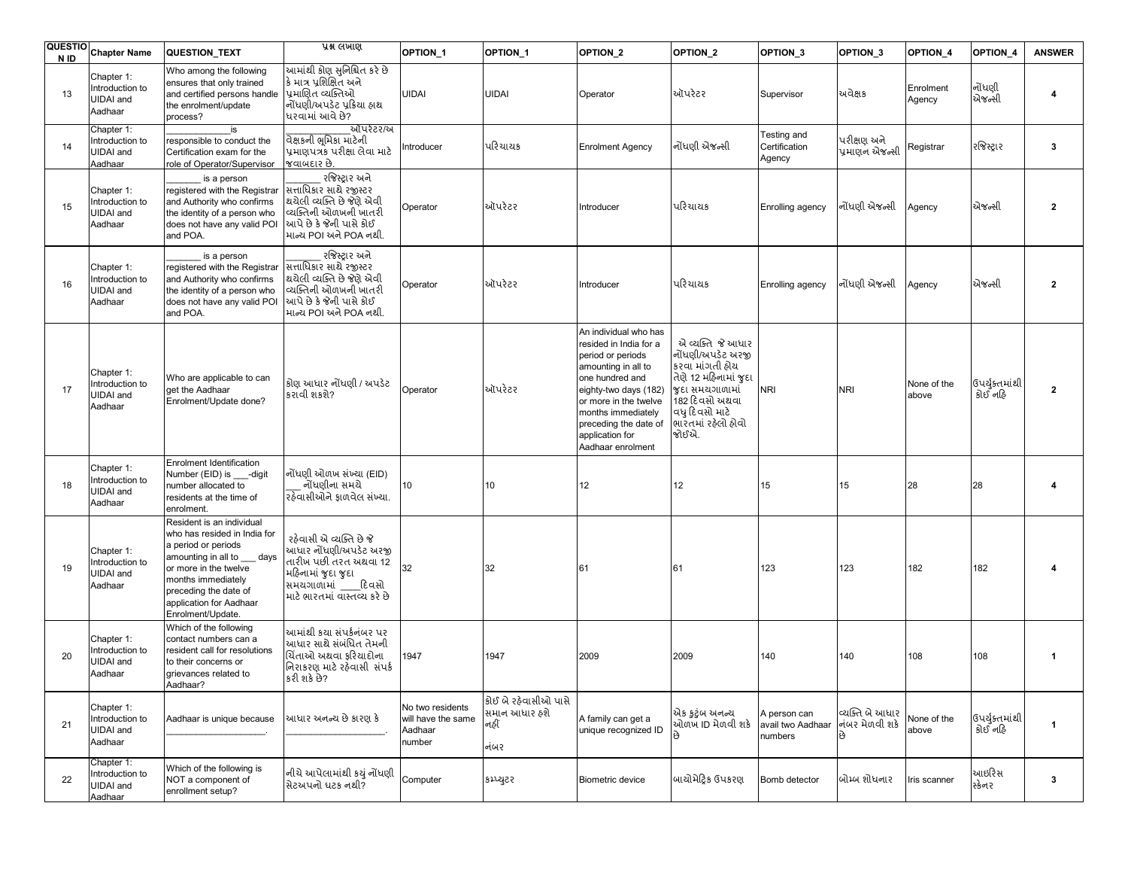| <b>QUESTIO</b><br>N ID | <b>Chapter Name</b>                                          | QUESTION_TEXT                                                                                                                                                                                                                        | प्रश्न लખाણ                                                                                                                                           | OPTION_1                                                    | OPTION_1                                              | OPTION <sub>2</sub>                                                                                                                                                                                                                                     | OPTION_2                                                                                                                                                                 | OPTION_3                                     | OPTION 3                                | OPTION 4             | OPTION_4                  | <b>ANSWER</b> |
|------------------------|--------------------------------------------------------------|--------------------------------------------------------------------------------------------------------------------------------------------------------------------------------------------------------------------------------------|-------------------------------------------------------------------------------------------------------------------------------------------------------|-------------------------------------------------------------|-------------------------------------------------------|---------------------------------------------------------------------------------------------------------------------------------------------------------------------------------------------------------------------------------------------------------|--------------------------------------------------------------------------------------------------------------------------------------------------------------------------|----------------------------------------------|-----------------------------------------|----------------------|---------------------------|---------------|
| 13                     | Chapter 1:<br>Introduction to<br><b>UIDAI</b> and<br>Aadhaar | Who among the following<br>ensures that only trained<br>and certified persons handle<br>the enrolment/update<br>process?                                                                                                             | આમાંથી કોણ સુનિશ્ચિત કરે છે<br>કે માત્ર પશિક્ષિત અને<br>પ્રમાણિત વ્યક્તિઓ<br>નોંધણી/અપડેટ પ્રક્રિયા હ્રાથ<br>ધરવામાં આવે છે?                          | UIDAI                                                       | UIDAI                                                 | Operator                                                                                                                                                                                                                                                | ઑપરેટર                                                                                                                                                                   | Supervisor                                   | અવેક્ષક                                 | Enrolment<br>Agency  | નોંધણી<br>એજન્સી          | 4             |
| 14                     | Chapter 1:<br>Introduction to<br><b>UIDAI</b> and<br>Aadhaar | is<br>responsible to conduct the<br>Certification exam for the<br>role of Operator/Supervisor                                                                                                                                        | ઑપરેટર/અ<br>वेक्षडनी <b>भूमि</b> डा माटेनी<br>પ્રમાણપત્રકે પરીક્ષા લેવા માટે<br>જવાબદાર છે.                                                           | Introducer                                                  | પરિચાયક                                               | <b>Enrolment Agency</b>                                                                                                                                                                                                                                 | નોંધણી એજન્સી                                                                                                                                                            | Testing and<br>Certification<br>Agency       | પરીક્ષણ અને<br>પ્રમાણન એજન્સી           | Registrar            | રજિસ્ટ્રા ર               | 3             |
| 15                     | Chapter 1:<br>Introduction to<br>UIDAI and<br>Aadhaar        | is a person<br>registered with the Registrar<br>and Authority who confirms<br>the identity of a person who<br>does not have any valid POI<br>and POA.                                                                                | રજિસ્ટ્રાર અને<br>सत्ताधिश्वर साथे रજીस्टर<br>થયેલી વ્યક્તિ છે જેણે એવી<br>વ્યક્તિની ઓળખની ખાતરી<br>આપે છે કે જેની પાસે કોઈ<br>માન્ય POI અને POA નથી. | Operator                                                    | ઑપરેટર                                                | Introducer                                                                                                                                                                                                                                              | પરિચાયક                                                                                                                                                                  | Enrolling agency                             | નોંધણી એજન્સી                           | Agency               | એજન્સી                    | $\mathbf{2}$  |
| 16                     | Chapter 1:<br>Introduction to<br><b>UIDAI</b> and<br>Aadhaar | is a person<br>registered with the Registrar<br>and Authority who confirms<br>the identity of a person who<br>does not have any valid POI<br>and POA.                                                                                | રજિસ્ટ્રાર અને<br>सत्ताधिश्वर साथे रજીस्टर<br>થયેલી વ્યક્તિ છે જેણે એવી<br>વ્યક્તિની ઓળખની ખાતરી<br>આપે છે કે જેની પાસે કોઈ<br>માન્ય POI અને POA નથી. | Operator                                                    | ઑપરેટર                                                | Introducer                                                                                                                                                                                                                                              | પરિચાયક                                                                                                                                                                  | Enrolling agency                             | નોંધણી એજન્સી                           | Agency               | એજન્સી                    | $\mathbf{2}$  |
| 17                     | Chapter 1:<br>ntroduction to<br><b>UIDAI</b> and<br>Aadhaar  | Who are applicable to can<br>get the Aadhaar<br>Enrolment/Update done?                                                                                                                                                               | ક્રોણ આધાર નોંધણી / અપડેટ<br>કરાવી શકશે?                                                                                                              | Operator                                                    | ઑપરેટર                                                | An individual who has<br>resided in India for a<br>period or periods<br>amounting in all to<br>one hundred and<br>eighty-two days (182)<br>or more in the twelve<br>months immediately<br>preceding the date of<br>application for<br>Aadhaar enrolment | એ વ્યક્તિ જે આધાર<br>નોંધણી/અપડેટ અરજી<br>કરવા માંગતી હ્રોય<br>તેણે 12 મહિનામાં જદા<br>જદા સમયગાળામાં<br>182 દિવસો અથવા<br>વધુ દિવસો માટે<br>ભારતમાં રહેલો હોવો<br>જોઈએ. | <b>NRI</b>                                   | <b>NRI</b>                              | None of the<br>above | ઉપર્યક્તમાંથી<br>કોઈ નહિ  | $\mathbf{2}$  |
| 18                     | Chapter 1:<br>Introduction to<br><b>UIDAI</b> and<br>Aadhaar | Enrolment Identification<br>Number (EID) is ___-digit<br>number allocated to<br>residents at the time of<br>enrolment.                                                                                                               | નોંધણી ઓળખ સંખ્યા (EID)<br>નોંધણીના સમયે<br>रहेवासीओंने ફાળવેલ સંખ્યા.                                                                                | 10                                                          | 10                                                    | 12                                                                                                                                                                                                                                                      | 12                                                                                                                                                                       | 15                                           | 15                                      | 28                   | 28                        |               |
| 19                     | Chapter 1:<br>ntroduction to<br><b>UIDAI</b> and<br>Aadhaar  | Resident is an individual<br>who has resided in India for<br>a period or periods<br>amounting in all to days<br>or more in the twelve<br>months immediately<br>preceding the date of<br>application for Aadhaar<br>Enrolment/Update. | રહેવાસી એ વ્યક્તિ છે જે<br>આધાર નોંધણી/અપડેટ અરજી<br>તારીખ પછી તરત અથવા 12<br>મહિનામાં જદા જદા<br>સમયગાળામાં દિવસો<br>માટે ભારતમાં વાસ્તવ્ય કરે છે    | 32                                                          | 32                                                    | 61                                                                                                                                                                                                                                                      | 61                                                                                                                                                                       | 123                                          | 123                                     | 182                  | 182                       |               |
| 20                     | Chapter 1:<br>Introduction to<br><b>UIDAI</b> and<br>Aadhaar | Which of the following<br>contact numbers can a<br>resident call for resolutions<br>to their concerns or<br>grievances related to<br>Aadhaar?                                                                                        | આમાંથી કયા સંપર્કનંબર પર<br>આધાર સાથે સંબંધિત તેમની<br>ચિંતાઓ અથવા ફરિયાદોના<br>નિરાકરણ માટે રહેવાસી સંપર્ક<br>કરી શકે છે?                            | 1947                                                        | 1947                                                  | 2009                                                                                                                                                                                                                                                    | 2009                                                                                                                                                                     | 140                                          | 140                                     | 108                  | 108                       | 1             |
| 21                     | Chapter 1:<br>Introduction to<br>UIDAI and<br>Aadhaar        | Aadhaar is unique because                                                                                                                                                                                                            | આધાર અનન્ય છે કારણ કે                                                                                                                                 | No two residents<br>will have the same<br>Aadhaar<br>number | કોઈ બે રહેવાસીઓ પાસે<br>સમાન આધાર હશે<br>નહીં<br>નંબર | A family can get a<br>unique recognized ID                                                                                                                                                                                                              | એક કુટુંબ અનન્ય<br>ઓળખ ID મેળવી શકે                                                                                                                                      | A person can<br>avail two Aadhaar<br>numbers | વ્યક્તિ બે આધાર<br>નંબર મેળવી શકે<br>છે | None of the<br>above | ઉપર્યુક્તમાંથી<br>કોઈ નહિ | 1             |
| 22                     | Chapter 1:<br>Introduction to<br>UIDAI and<br>Aadhaar        | Which of the following is<br>NOT a component of<br>enrollment setup?                                                                                                                                                                 | નીચે આપેલામાંથી કયું નોંધણી<br>સેટઅપનો ઘટક નથી?                                                                                                       | Computer                                                    | કપ્રચુટર                                              | <b>Biometric device</b>                                                                                                                                                                                                                                 | બાયોમેટિક ઉપકરણ                                                                                                                                                          | Bomb detector                                | બોમ્બ શોધનાર                            | ris scanner          | આઇરિસ<br>સ્ક્રેનર         | 3             |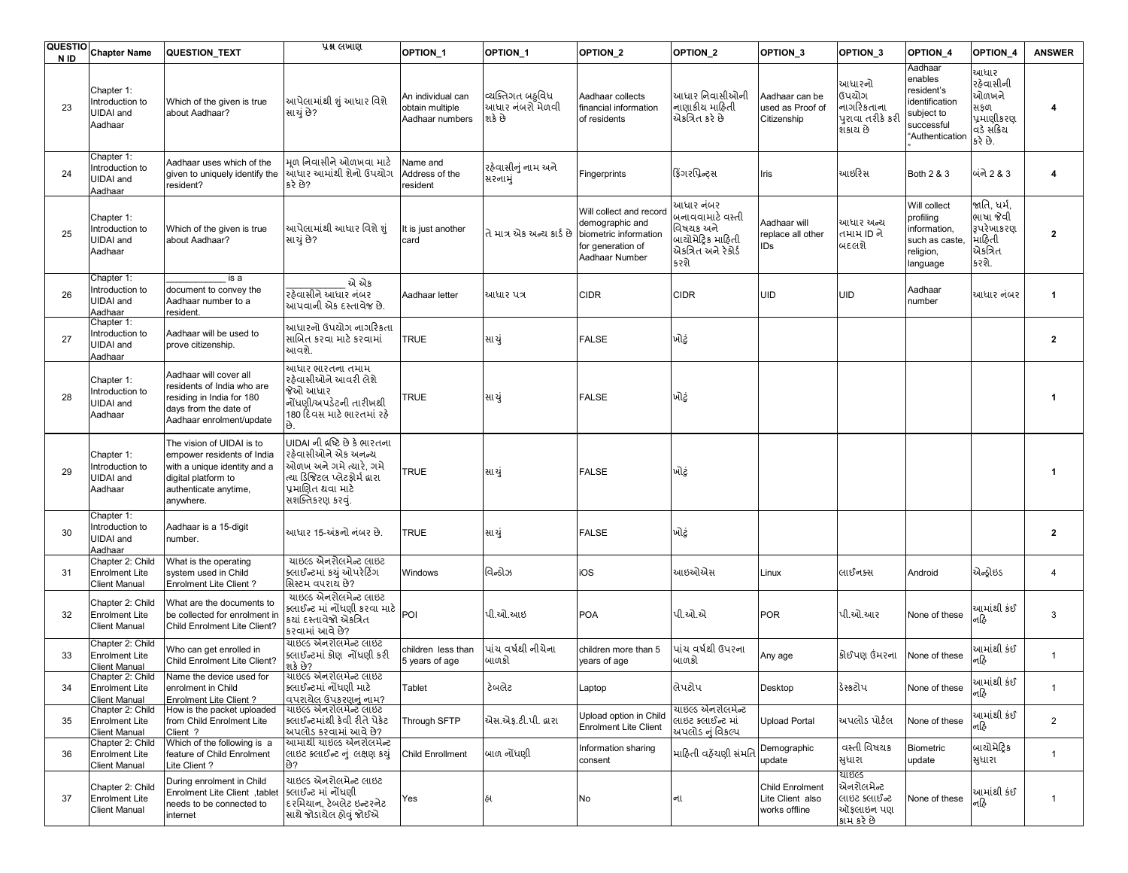|    | QUESTIO Chapter Name                                              | QUESTION_TEXT                                                                                                                                        | प्रश्न लખाણ                                                                                                                                                    | OPTION_1                                                | OPTION_1                                      | OPTION <sub>2</sub>                                                                                        | OPTION_2                                                                                      | OPTION <sub>3</sub>                                         | OPTION <sub>3</sub>                                              | OPTION 4                                                                                        | OPTION 4                                                                  | <b>ANSWER</b>  |
|----|-------------------------------------------------------------------|------------------------------------------------------------------------------------------------------------------------------------------------------|----------------------------------------------------------------------------------------------------------------------------------------------------------------|---------------------------------------------------------|-----------------------------------------------|------------------------------------------------------------------------------------------------------------|-----------------------------------------------------------------------------------------------|-------------------------------------------------------------|------------------------------------------------------------------|-------------------------------------------------------------------------------------------------|---------------------------------------------------------------------------|----------------|
| 23 | Chapter 1:<br>Introduction to<br><b>UIDAI</b> and<br>Aadhaar      | Which of the given is true<br>about Aadhaar?                                                                                                         | આપેલામાંથી શું આધાર વિશે<br>સાચું છે?                                                                                                                          | An individual can<br>obtain multiple<br>Aadhaar numbers | વ્યક્તિગત બહવિધ<br>આધાર નંબરો મેળવી<br>શકે છે | Aadhaar collects<br>financial information<br>of residents                                                  | આધાર નિવાસીઓની<br>નાણાકીય માહિતી<br>એકત્રિત કરે છે                                            | Aadhaar can be<br>used as Proof of<br>Citizenship           | આધારનો<br>ઉપયોગ<br>નાગરિકતાના<br>પુરાવા તરીકે કરી<br>શકાય છે     | Aadhaar<br>enables<br>esident's<br>dentification<br>subject to<br>successful<br>'Authentication | આધાર<br>રહેવાસીની<br>ઓળખને<br>સકળ<br>પ્રમાણીકરણ<br>વડે સંક્રિય<br>કરે છે. | 4              |
| 24 | Chapter 1:<br>Introduction to<br><b>UIDAI</b> and<br>Aadhaar      | Aadhaar uses which of the<br>given to uniquely identify the<br>resident?                                                                             | મળ નિવાસીને ઓળખવા માટે<br>આધાર આમાંથી શેનો ઉપયોગ<br>કરે છે?                                                                                                    | Name and<br>Address of the<br>resident                  | રહેવાસીનું નામ અને<br>સરનામું                 | Fingerprints                                                                                               | ફિંગરપ્રિન્ટ્સ                                                                                | Iris                                                        | આઇરિસ                                                            | Both 2 & 3                                                                                      | બંને 2 & 3                                                                | 4              |
| 25 | Chapter 1:<br>Introduction to<br><b>UIDAI</b> and<br>Aadhaar      | Which of the given is true<br>about Aadhaar?                                                                                                         | આપેલામાંથી આધાર વિશે શં<br>સાચું છે?                                                                                                                           | It is just another<br>card                              | તે માત્ર એક અન્ય કાર્ડ છે                     | Will collect and record<br>demographic and<br>biometric information<br>for generation of<br>Aadhaar Number | આધાર નંબર<br>બનાવવામાટે વસ્તી<br>વિષયક અને<br>બાચોમેટિક માહિતી<br>એકત્રિત અને રેકોર્ડ<br>કરશે | Aadhaar will<br>replace all other<br>IDs                    | આધાર અન્ય<br>તમામ ID ને<br>બદલશે                                 | Will collect<br>profiling<br>nformation,<br>such as caste,<br>religion,<br>anguage              | જાતિ, ધર્મ,<br>ભાષા જેવી<br>રૂપરેખાકરણ<br>માહિતી<br>એકત્રિત<br>કરશે.      | $\overline{2}$ |
| 26 | Chapter 1:<br>Introduction to<br><b>UIDAI</b> and<br>Aadhaar      | is a<br>document to convey the<br>Aadhaar number to a<br>resident.                                                                                   | એ એક<br>રઠેવાસીને આધાર નંબર<br>આપવાની એક દસ્તાવેજ છે.                                                                                                          | Aadhaar letter                                          | આધાર પત્ર                                     | <b>CIDR</b>                                                                                                | <b>CIDR</b>                                                                                   | UID                                                         | <b>UID</b>                                                       | Aadhaar<br>number                                                                               | આધાર નંબર                                                                 | 1              |
| 27 | Chapter 1:<br>Introduction to<br><b>UIDAI</b> and<br>Aadhaar      | Aadhaar will be used to<br>prove citizenship.                                                                                                        | આધારનો ઉપયોગ નાગરિકતા<br>સાબિત કરવા માટે કરવામાં<br>આવશે.                                                                                                      | <b>TRUE</b>                                             | સા યું                                        | <b>FALSE</b>                                                                                               | ખોટું                                                                                         |                                                             |                                                                  |                                                                                                 |                                                                           | $\mathbf{2}$   |
| 28 | Chapter 1:<br>Introduction to<br><b>UIDAI</b> and<br>Aadhaar      | Aadhaar will cover all<br>residents of India who are<br>residing in India for 180<br>days from the date of<br>Aadhaar enrolment/update               | આધાર ભારતના તમામ<br>રહેવાસીઓને આવરી લેશે<br>જેઓ આધાર<br>નોંધણી/અપડેટની તારીખથી<br>180 દિવસ માટે ભારતમાં રહે<br>۶ģ                                              | TRUE                                                    | સા યું                                        | <b>FALSE</b>                                                                                               | ખોટું                                                                                         |                                                             |                                                                  |                                                                                                 |                                                                           | -1             |
| 29 | Chapter 1:<br>Introduction to<br>UIDAI and<br>Aadhaar             | The vision of UIDAI is to<br>empower residents of India<br>with a unique identity and a<br>digital platform to<br>authenticate anytime,<br>anywhere. | UIDAI ની દ્રષ્ટિ છે કે ભારતના<br>રઠેવાસીઓને એક અનન્ય<br>.<br>ઓળખ અને ગમે ત્યારે, ગમે<br>ત્યા ડિજિટલ પ્લેટફોર્મ દ્વારા<br>પ્રમાણિત થવા માટે<br>સશક્તિકરણ કરવું. | <b>TRUE</b>                                             | સા યું                                        | <b>FALSE</b>                                                                                               | ખોટું                                                                                         |                                                             |                                                                  |                                                                                                 |                                                                           | $\mathbf 1$    |
| 30 | Chapter 1:<br>Introduction to<br><b>UIDAI</b> and<br>Aadhaar      | Aadhaar is a 15-digit<br>number.                                                                                                                     | આધાર 15-અંકનો નંબર છે.                                                                                                                                         | <b>TRUE</b>                                             | સા યું                                        | <b>FALSE</b>                                                                                               | ખોટું                                                                                         |                                                             |                                                                  |                                                                                                 |                                                                           | $\mathbf{2}$   |
| 31 | Chapter 2: Child<br><b>Enrolment Lite</b><br><b>Client Manual</b> | What is the operating<br>system used in Child<br><b>Enrolment Lite Client?</b>                                                                       | યાઇલ્ડ એનરોલમેન્ટ લાઇટ<br>ક્લાઈન્ટમાં કથું ઓપરેટિંગ<br>સિસ્ટમ વપરાય છે?                                                                                        | Windows                                                 | વિન્ડોઝ                                       | iOS                                                                                                        | આઇઓએસ                                                                                         | Linux                                                       | લાઈનક્સ                                                          | Android                                                                                         | એન્ડ્રોઇડ                                                                 | 4              |
| 32 | Chapter 2: Child<br><b>Enrolment Lite</b><br><b>Client Manual</b> | What are the documents to<br>be collected for enrolment in<br>Child Enrolment Lite Client?                                                           | યાઇલ્ડ એનરોલમેન્ટ લાઇટ<br>ક્લાઈન્ટ માં નોંધણી કરવા માટે<br>કયાં દસ્તાવેજો એકત્રિત<br>કરવામાં આવે છે?                                                           | POI                                                     | પી.ઓ.આઇ                                       | <b>POA</b>                                                                                                 | પી.ઓ.એ                                                                                        | <b>POR</b>                                                  | પી.ઓ.આર                                                          | None of these                                                                                   | આમાંથી કંઈ<br>નહિ                                                         | 3              |
| 33 | Chapter 2: Child<br><b>Enrolment Lite</b><br><b>Client Manual</b> | Who can get enrolled in<br>Child Enrolment Lite Client?                                                                                              | ચાઇલ્ડ એનરોલમેન્ટ લાઇટ<br>ક્લાઈન્ટમાં કોણ નોંધણી કરી<br>શકે છે?                                                                                                | children less than<br>5 years of age                    | પાંચ વર્ષથી નીચેના<br>બાળકો                   | children more than 5<br>years of age                                                                       | પાંચ વર્ષથી ઉપરના<br>બાળકો                                                                    | Any age                                                     | કોઈપણ ઉંમરના                                                     | None of these                                                                                   | આમાંથી કંઈ<br>નહિ                                                         | $\mathbf{1}$   |
| 34 | Chapter 2: Child<br><b>Enrolment Lite</b><br><b>Client Manual</b> | Name the device used for<br>enrolment in Child<br><b>Enrolment Lite Client?</b>                                                                      | યાઇલ્ડ એનરોલમેન્ટ લાઇટ<br>ક્લાઈન્ટમાં નોંધણી માટે<br>વપરાયેલ ઉપકરણનું નામ?                                                                                     | Tablet                                                  | ડેબલેટ                                        | Laptop                                                                                                     | લેપટોપ                                                                                        | Desktop                                                     | ડેસ્કટોપ                                                         | None of these                                                                                   | આમાંથી કંઈ<br>નહિ                                                         | $\mathbf{1}$   |
| 35 | Chapter 2: Child<br><b>Enrolment Lite</b><br><b>Client Manual</b> | How is the packet uploaded<br>from Child Enrolment Lite<br>Client ?                                                                                  | ચાઇલ્ડ એનરોલમેન્ટ લાઇટ<br>ક્લાઈન્ટમાંથી કેવી રીતે પેકેટ<br>અપલોડ કરવામાં આવે છે?                                                                               | Through SFTP                                            | એસ.એક.ટી.પી. લ્રારા                           | Upload option in Child<br><b>Enrolment Lite Client</b>                                                     | યાઇલ્ડ એનરોલમેન્ટ<br>લાઇટ ક્લાઈન્ટ માં<br>અપલોડ નું વિકલ્પ                                    | <b>Upload Portal</b>                                        | અપલોડ પોર્ટલ                                                     | None of these                                                                                   | આમાંથી કંઈ<br>નહિ                                                         | $\overline{2}$ |
| 36 | Chapter 2: Child<br><b>Enrolment Lite</b><br><b>Client Manual</b> | Which of the following is a<br>feature of Child Enrolment<br>Lite Client?                                                                            | આમાંથી યાઇલ્ડ એનરોલમેન્ટ<br>લાઇટ ક્લાઈન્ટ નું લક્ષણ કચું                                                                                                       | Child Enrollment                                        | બાળ નોંધણી                                    | Information sharing<br>consent                                                                             | માહિતી વહેંચણી સંમતિ                                                                          | Demographic<br>update                                       | વસ્તી વિષયક<br>સુધારા                                            | <b>Biometric</b><br>update                                                                      | બાચોમેટ્રિક<br>સુધારા                                                     | $\mathbf{1}$   |
| 37 | Chapter 2: Child<br><b>Enrolment Lite</b><br><b>Client Manual</b> | During enrolment in Child<br>Enrolment Lite Client , tablet<br>needs to be connected to<br>internet                                                  | યાઇલ્ડ એનરોલમેન્ટ લાઇટ<br>ક્લાઈન્ટ માં નોંધણી<br>દરમિયાન. ટેબલેટ ઇન્ટરનેટ<br>સાથે જોડાયેલ હોવું જોઈએ                                                           | Yes                                                     | હા                                            | No                                                                                                         | ના                                                                                            | <b>Child Enrolment</b><br>Lite Client also<br>works offline | ચાઇલ્ડ<br>એનરોલમેન્ટ<br>લાઇટ ક્લાઈન્ટ<br>ઑકલાઇન પણ<br>કામ કરે છે | None of these                                                                                   | આમાંથી કંઈ<br>નહિ                                                         | 1              |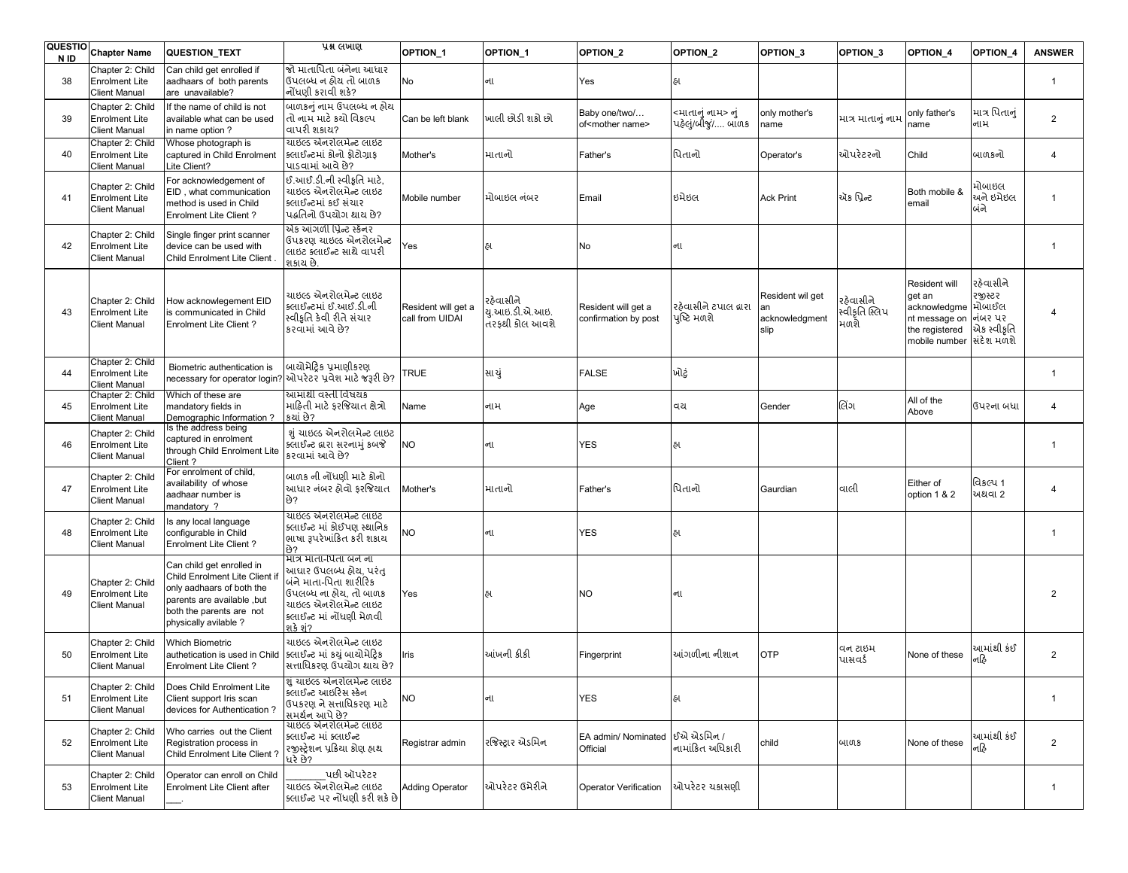| <b>QUESTIO</b><br>N ID | <b>Chapter Name</b>                                               | QUESTION_TEXT                                                                                                                                                              | પ્રશ્ન લખાણ                                                                                                                                                            | OPTION_1                               | OPTION_1                                      | OPTION <sub>2</sub>                           | OPTION <sub>2</sub>                     | OPTION <sub>3</sub>                              | OPTION <sub>3</sub>                 | OPTION 4                                                                                                                | OPTION 4                            | <b>ANSWER</b>  |
|------------------------|-------------------------------------------------------------------|----------------------------------------------------------------------------------------------------------------------------------------------------------------------------|------------------------------------------------------------------------------------------------------------------------------------------------------------------------|----------------------------------------|-----------------------------------------------|-----------------------------------------------|-----------------------------------------|--------------------------------------------------|-------------------------------------|-------------------------------------------------------------------------------------------------------------------------|-------------------------------------|----------------|
| 38                     | Chapter 2: Child<br><b>Enrolment Lite</b><br><b>Client Manual</b> | Can child get enrolled if<br>aadhaars of both parents<br>are unavailable?                                                                                                  | જો માતાપિતા બંનેના આધાર<br>ઉપલબ્ધ ન ઠોય તો બાળક<br>નોંધણી કરાવી શકે?                                                                                                   | No                                     | ના                                            | Yes                                           | હા                                      |                                                  |                                     |                                                                                                                         |                                     | $\overline{1}$ |
| 39                     | Chapter 2: Child<br><b>Enrolment Lite</b><br><b>Client Manual</b> | If the name of child is not<br>available what can be used<br>in name option?                                                                                               | બાળકનું નામ ઉપલબ્ધ ન હોય<br>તો નામ માટે કચો વિકલ્પ<br>વાપરી શકાય?                                                                                                      | Can be left blank                      | માલી છોડી શકો છો                              | Baby one/two/<br>of <mother name=""></mother> | <માતાનું નામ> નું<br>પહેલું/બીજું/ બાળક | only mother's<br>name                            | માત્ર માતાનું નામ                   | only father's<br>name                                                                                                   | માત્ર પિતાનું<br>નામ                | $\overline{2}$ |
| 40                     | Chapter 2: Child<br><b>Enrolment Lite</b><br><b>Client Manual</b> | Whose photograph is<br>captured in Child Enrolment<br>Lite Client?                                                                                                         | ચાઇલ્ડ એનરોલમેન્ટ લાઇટ<br>ક્લાઈન્ટમાં કોનો ફોટોગ્રાફ<br>પાડવામાં આવે છે?                                                                                               | Mother's                               | માતાનો                                        | Father's                                      | પિતાનો                                  | Operator's                                       | ઓપરેટરનો                            | Child                                                                                                                   | બાળકનો                              | $\overline{4}$ |
| 41                     | Chapter 2: Child<br><b>Enrolment Lite</b><br><b>Client Manual</b> | For acknowledgement of<br>EID, what communication<br>method is used in Child<br><b>Enrolment Lite Client?</b>                                                              | ઈ.આઈ.ડી.ની સ્વીકૃતિ માટે.<br>યાઇલ્ડ એનરોલમેન્ટ લાઇટ<br>ક્લાઈન્ટમાં કઈ સંચાર<br>પદ્ધતિનો ઉપયોગ થાય છે?                                                                  | Mobile number                          | મોબાઇલ નંબર                                   | Email                                         | ઇમેઇલ                                   | <b>Ack Print</b>                                 | ઍક પ્રિન્ટ                          | Both mobile &<br>email                                                                                                  | મોબાઇલ<br>અને ઇમેઇલ<br>બંને         | $\overline{1}$ |
| 42                     | Chapter 2: Child<br><b>Enrolment Lite</b><br><b>Client Manual</b> | Single finger print scanner<br>device can be used with<br>Child Enrolment Lite Client                                                                                      | એક આંગળી પ્રિન્ટ સ્ક્રૅનર<br>ઉપકરણ ચાઇલ્ડ એનરોલમેન્ટ<br>લાઇટ ક્લાઈન્ટ સાથે વાપરી<br>શકાય છે.                                                                           | Yes                                    | ઠા                                            | No                                            | ના                                      |                                                  |                                     |                                                                                                                         |                                     | $\overline{1}$ |
| 43                     | Chapter 2: Child<br><b>Enrolment Lite</b><br><b>Client Manual</b> | How acknowlegement EID<br>is communicated in Child<br><b>Enrolment Lite Client?</b>                                                                                        | યાઇલ્ડ એનરોલમેન્ટ લાઇટ<br>ક્લાઈન્ટમાં ઈ.આઈ.ડી.ની<br>સ્વીકૃતિ કેવી રીતે સંચાર<br>કરવામાં આવે છે?                                                                        | Resident will get a<br>call from UIDAI | રઠેવાસીને<br>યુ.આઇ.ડી.એ.આઇ.<br>તરકથી કોલ આવશે | Resident will get a<br>confirmation by post   | રહેવાસીને ટપાલ દ્વારા<br>પુષ્ટિ મળશે    | Resident wil get<br>an<br>acknowledgment<br>slip | રહેવાસીને<br>સ્વીકૃતિ સ્લિપ<br>મળશે | Resident will<br>get an<br>acknowledgme મોબાઈલ<br>nt message on dick? u?<br>the registered<br>mobile number સિંદેશ મળશે | રહેવાસીને<br>રજીસ્ટર<br>એક સ્વીકૃતિ | $\overline{4}$ |
| 44                     | Chapter 2: Child<br><b>Enrolment Lite</b><br><b>Client Manual</b> | Biometric authentication is<br>necessary for operator login?                                                                                                               | બાયોમેટિક પ્રમાણીકરણ<br>ઓપરેટર પ્રવેશ માટે જરૂરી છે?                                                                                                                   | TRUE                                   | સા યું                                        | <b>FALSE</b>                                  | ખોટું                                   |                                                  |                                     |                                                                                                                         |                                     | $\overline{1}$ |
| 45                     | Chapter 2: Child<br><b>Enrolment Lite</b><br><b>Client Manual</b> | Which of these are<br>mandatory fields in<br>Demographic Information?                                                                                                      | આમાંથી વસ્તી વિષયક<br>માઠિતી માટે કરજિયાત ક્ષેત્રો<br>કચાં છે?                                                                                                         | Name                                   | નામ                                           | Age                                           | વય                                      | Gender                                           | લિંગ                                | All of the<br>Above                                                                                                     | ઉપરના બધા                           | $\overline{4}$ |
| 46                     | Chapter 2: Child<br><b>Enrolment Lite</b><br><b>Client Manual</b> | Is the address being<br>captured in enrolment<br>through Child Enrolment Lite<br>Client ?                                                                                  | શું ચાઇલ્ડ એનરોલમેન્ટ લાઇટ<br>ક્લાઈન્ટ લ્રારા સરનામું કબજે<br>કરવામાં આવે છે?                                                                                          | <b>NO</b>                              | ના                                            | <b>YES</b>                                    | ઠા                                      |                                                  |                                     |                                                                                                                         |                                     | $\overline{1}$ |
| 47                     | Chapter 2: Child<br><b>Enrolment Lite</b><br><b>Client Manual</b> | For enrolment of child,<br>availability of whose<br>aadhaar number is<br>mandatory ?                                                                                       | બાળક ની નોંધણી માટે કોનો<br>આધાર નંબર હોવો ફરજિયાત<br>છે?                                                                                                              | Mother's                               | માતાનો                                        | Father's                                      | પિતાનો                                  | Gaurdian                                         | વાલી                                | Either of<br>option 1 & 2                                                                                               | વિકલ્પ 1<br>અથવા 2                  | $\overline{4}$ |
| 48                     | Chapter 2: Child<br><b>Enrolment Lite</b><br><b>Client Manual</b> | Is any local language<br>configurable in Child<br><b>Enrolment Lite Client?</b>                                                                                            | ચાઇલ્ડ એનરોલમેન્ટ લાઇટ<br>ક્લાઈન્ટ માં કોઈપણ સ્થાનિક<br>ભાષા રૂપરેખાંકિત કરી શકાય<br>છે?                                                                               | NO                                     | ના                                            | <b>YES</b>                                    | હા                                      |                                                  |                                     |                                                                                                                         |                                     | $\overline{1}$ |
| 49                     | Chapter 2: Child<br><b>Enrolment Lite</b><br><b>Client Manual</b> | Can child get enrolled in<br>Child Enrolment Lite Client if<br>only aadhaars of both the<br>parents are available, but<br>both the parents are not<br>physically avilable? | માત્ર માતા-પિતા બને ના<br>આધાર ઉપલબ્ધ હોય, પરંતુ<br>બંને માતા-પિતા શારીરિક<br>ઉપલબ્ધ ના ઠોય. તો બાળક<br>યાઇલ્ડ એનરોલમેન્ટ લાઇટ<br>ક્લાઈન્ટ માં નોંધણી મેળવી<br>શકે શં? | Yes                                    | હા                                            | <b>NO</b>                                     | ના                                      |                                                  |                                     |                                                                                                                         |                                     | $\overline{2}$ |
| 50                     | Chapter 2: Child<br><b>Enrolment Lite</b><br><b>Client Manual</b> | <b>Which Biometric</b><br>authetication is used in Child<br><b>Enrolment Lite Client?</b>                                                                                  | ચાઇલ્ડ એનરોલમેન્ટ લાઇટ<br>ક્લાઈન્ટ માં કયં બાયોમેટિક<br>સત્તાધિકરણ ઉપયોગ થાય છે?                                                                                       | Iris                                   | આંખની કીકી                                    | Fingerprint                                   | આંગળીના નીશાન                           | <b>OTP</b>                                       | વન ટાઇમ<br>પાસવર્ડ                  | None of these                                                                                                           | આમાંથી કંઈ<br>નહિ                   | $\overline{2}$ |
| 51                     | Chapter 2: Child<br><b>Enrolment Lite</b><br><b>Client Manual</b> | Does Child Enrolment Lite<br>Client support Iris scan<br>devices for Authentication?                                                                                       | <mark> </mark> શું ચાઇલ્ડ એનરોલમેન્ટ લાઇટ<br>ક્લાઈન્ટ આઇરિસ સ્કેન<br>ઉપકરણ ને સત્તાધિકરણ માટે<br>સમર્થન આપે છે?                                                        | <b>NO</b>                              | ના                                            | <b>YES</b>                                    | હા                                      |                                                  |                                     |                                                                                                                         |                                     | $\overline{1}$ |
| 52                     | Chapter 2: Child<br><b>Enrolment Lite</b><br><b>Client Manual</b> | Who carries out the Client<br>Registration process in<br>Child Enrolment Lite Client?                                                                                      | ચાઇલ્ડ એનરોલમેન્ટ લાઇટ<br>ક્લાઈન્ટ માં ક્લાઈન્ટ<br>રજીસ્ટ્રેશન પ્રક્રિયા કોણ હ્રાથ<br>ધરે છે?                                                                          | Registrar admin                        | રજિસ્ટ્રાર એડમિન                              | EA admin/ Nominated<br>Official               | $62$ યે એડમિન /<br>નામાંકિત અધિકારી     | child                                            | બાળક                                | None of these                                                                                                           | આમાંથી કંઈ<br>નહિ                   | $\overline{2}$ |
| 53                     | Chapter 2: Child<br><b>Enrolment Lite</b><br><b>Client Manual</b> | Operator can enroll on Child<br>Enrolment Lite Client after                                                                                                                | પછી ઑપરેટર<br><u>ચાઇલ્ડ એ</u> નરોલમેન્ટ લાઇટ<br>ક્લાઈન્ટ પર નોંધણી કરી શકે છે                                                                                          | <b>Adding Operator</b>                 | ઓપરેટર ઉમેરીને                                | <b>Operator Verification</b>                  | ઓપરેટર ચકાસણી                           |                                                  |                                     |                                                                                                                         |                                     | $\overline{1}$ |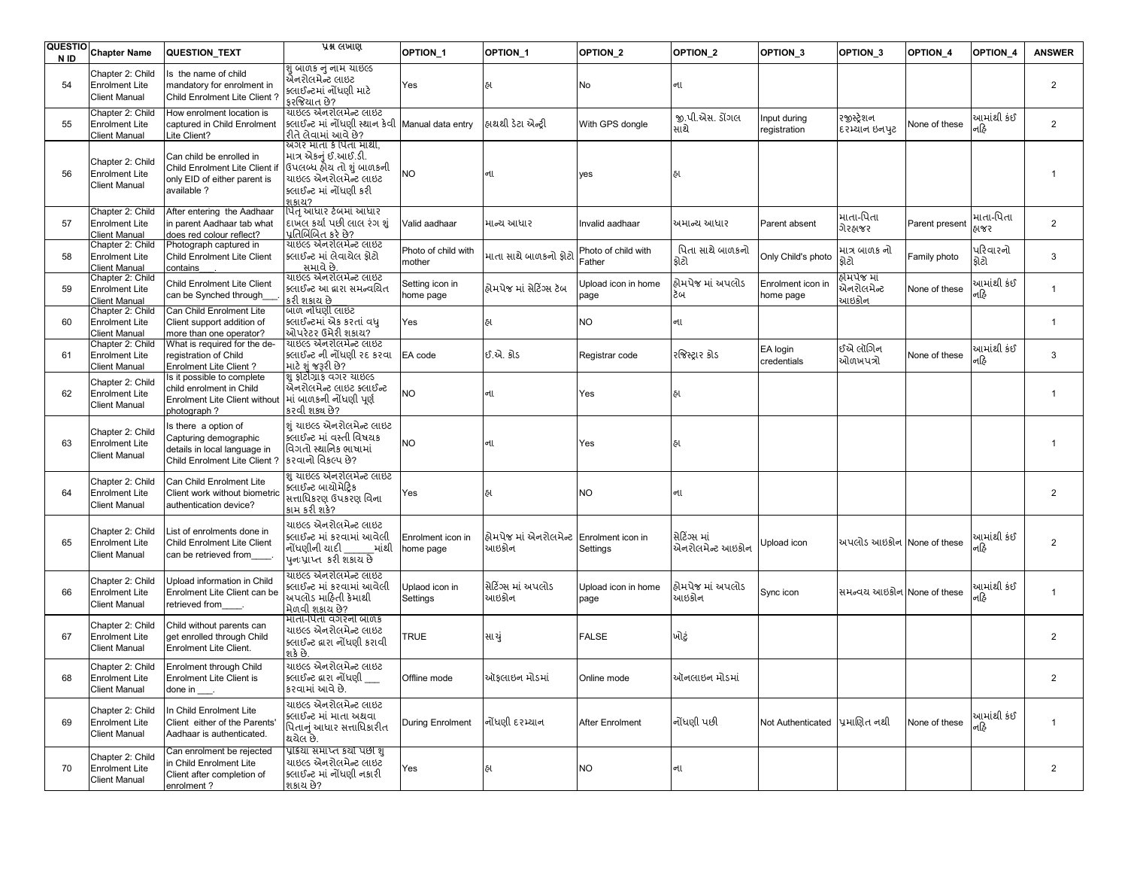| <b>QUESTIO</b><br>N ID | <b>Chapter Name</b>                                               | QUESTION_TEXT                                                                                                 | प्रश्न लખाણ                                                                                                                                | OPTION <sub>1</sub>            | OPTION_1                                         | OPTION <sub>2</sub>           | OPTION_2                         | OPTION <sub>3</sub>            | OPTION <sub>3</sub>                 | <b>OPTION 4</b> | OPTION_4           | <b>ANSWER</b>  |
|------------------------|-------------------------------------------------------------------|---------------------------------------------------------------------------------------------------------------|--------------------------------------------------------------------------------------------------------------------------------------------|--------------------------------|--------------------------------------------------|-------------------------------|----------------------------------|--------------------------------|-------------------------------------|-----------------|--------------------|----------------|
| 54                     | Chapter 2: Child<br><b>Enrolment Lite</b><br><b>Client Manual</b> | Is the name of child<br>mandatory for enrolment in<br>Child Enrolment Lite Client?                            | <u>શું બાળક નું નામ ચાઇલ્ડ</u><br>એનરોલમેન્ટ લાઇટ<br>ક્લાઈન્ટમાં નોંધણી માટે<br>કરજિયાત છે?                                                | Yes                            | હ્ય                                              | No                            | ના                               |                                |                                     |                 |                    | $\overline{2}$ |
| 55                     | Chapter 2: Child<br><b>Enrolment Lite</b><br>Client Manual        | How enrolment location is<br>captured in Child Enrolment<br>Lite Client?                                      | ચાઇલ્ડ એનરોલમેન્ટ લાઇટ<br>ક્લાઈન્ટ માં નોંધણી સ્થાન કેવી Manual data entry<br>રીતે લેવામાં આવે છે?                                         |                                | હ્રાથથી ડેટા એન્ટ્રી                             | With GPS dongle               | જી.પી.એસ. ડોંગલ<br>સાથે          | nput during<br>registration    | રજીસ્ટેશન<br>દરમ્યાન ઇનપુટ          | None of these   | આમાંથી કંઈ<br>નહિ  | $\overline{2}$ |
| 56                     | Chapter 2: Child<br><b>Enrolment Lite</b><br><b>Client Manual</b> | Can child be enrolled in<br>Child Enrolment Lite Client if<br>only EID of either parent is<br>available?      | અગર માતા કે પિતા માથી.<br>માત્ર એકનું ઈ.આઈ.ડી.<br>ઉપલબ્ધ હોય તો શું બાળકની<br>યાઇલ્ડ એનરોલમેન્ટ લાઇટ<br>ક્લાઈન્ટ માં નોંધણી કરી<br>9181217 | <b>NO</b>                      | ના                                               | yes                           | હા                               |                                |                                     |                 |                    |                |
| 57                     | Chapter 2: Child<br><b>Enrolment Lite</b><br><b>Client Manual</b> | After entering the Aadhaar<br>in parent Aadhaar tab what<br>does red colour reflect?                          | પિત આધાર ટેબમાં આધાર<br>દાખલ કર્યા પછી લાલ રંગ શું<br>પ્રતિબિંબિત કરે છે?                                                                  | Valid aadhaar                  | માન્ય આધાર                                       | Invalid aadhaar               | ખમાન્ય આધાર                      | Parent absent                  | માતા-પિતા<br>ગેરહ્રાજર              | Parent present  | માતા-પિતા<br>હાજર  | 2              |
| 58                     | Chapter 2: Child<br><b>Enrolment Lite</b><br><b>Client Manual</b> | Photograph captured in<br>Child Enrolment Lite Client<br>contains                                             | ચાઇલ્ડ એનરોલમેન્ટ લાઇટ<br>ક્લાઈન્ટ માં લેવાયેલ ફોટો<br>સમાવે છે.                                                                           | Photo of child with<br>mother  | માતા સાથે બાળકનો ફોટો                            | Photo of child with<br>Father | પિતા સાથે બાળકનો<br>ક્રોટો       | Only Child's photo             | માત્ર બાળક નો<br>ક્રોટો             | Family photo    | પરિવારનો<br>ક્રોટો | 3              |
| 59                     | Chapter 2: Child<br><b>Enrolment Lite</b><br><b>Client Manual</b> | Child Enrolment Lite Client<br>can be Synched through                                                         | ચાઇલ્ડ એનરોલમેન્ટ લાઇટ<br>ક્લાઈન્ટ આ દ્વારા સમન્વચિત<br>કરી શકાય છે                                                                        | Setting icon in<br>home page   | હ્રોમપેજ માં સેટિંગ્સ ટૅબ                        | Upload icon in home<br>page   | કોમપેજ માં અપલોડ<br>ðщ           | Enrolment icon in<br>home page | હ્રોમપેજ માં<br>એનરોલમેન્ટ<br>આઇકોન | None of these   | આમાંથી કંઈ<br>નહિ  | $\mathbf{1}$   |
| 60                     | Chapter 2: Child<br><b>Enrolment Lite</b><br><b>Client Manual</b> | Can Child Enrolment Lite<br>Client support addition of<br>more than one operator?                             | બાળ નોંધણી લાઇટ<br>ક્લાઈન્ટમાં એક કરતાં વધ<br>ઓપરેટર ઉમેરી શકાય?                                                                           | Yes                            | હા                                               | <b>NO</b>                     | ના                               |                                |                                     |                 |                    | $\mathbf{1}$   |
| 61                     | Chapter 2: Child<br><b>Enrolment Lite</b><br><b>Client Manual</b> | What is required for the de-<br>registration of Child<br>Enrolment Lite Client?                               | યાઇલ્ડ એનરોલમેન્ટ લાઇટ<br>ક્લાઈન્ટ ની નોંધણી રદ કરવા<br>માટે શું જરૂરી છે?                                                                 | EA code                        | ઈ.એ. કોડ                                         | Registrar code                | રજિસ્ટ્રાર કોડ                   | EA login<br>credentials        | ઈએ લૉગિન<br>ઓળખપત્રો                | None of these   | આમાંથી કંઈ<br>નહિ  | 3              |
| 62                     | Chapter 2: Child<br><b>Enrolment Lite</b><br><b>Client Manual</b> | Is it possible to complete<br>child enrolment in Child<br><b>Enrolment Lite Client without</b><br>photograph? | શું ફોટોગ્રાફ વગર ચાઇલ્ડ<br>એેનરોલમેન્ટ લાઇટ ક્લાઈન્ટ<br>માં બાળકની નોંધણી પૂર્ણ<br>કરવી શક્ય છે?                                          | <b>NO</b>                      | ના                                               | Yes                           | હા                               |                                |                                     |                 |                    | $\overline{1}$ |
| 63                     | Chapter 2: Child<br><b>Enrolment Lite</b><br><b>Client Manual</b> | Is there a option of<br>Capturing demographic<br>details in local language in<br>Child Enrolment Lite Client? | શું ચાઇલ્ડ એનરોલમેન્ટ લાઇટ<br>ક્લાઈન્ટ માં વસ્તી વિષયક<br>વિગતો સ્થાનિક ભાષામાં<br>કરવાનો વિકલ્પ છે?                                       | <b>NO</b>                      | ના                                               | Yes                           | હા                               |                                |                                     |                 |                    | $\overline{1}$ |
| 64                     | Chapter 2: Child<br><b>Enrolment Lite</b><br><b>Client Manual</b> | Can Child Enrolment Lite<br>Client work without biometric<br>authentication device?                           | શું ચાઇલ્ડ એનરોલમેન્ટ લાઇટ<br>ક્લાઈન્ટ બાચોમેટિક<br>સત્તાધિકરણ ઉપકરણ વિના<br>કામ કરી શકે?                                                  | Yes                            | હા                                               | <b>NO</b>                     | ના                               |                                |                                     |                 |                    | $\overline{2}$ |
| 65                     | Chapter 2: Child<br><b>Enrolment Lite</b><br><b>Client Manual</b> | List of enrolments done in<br>Child Enrolment Lite Client<br>can be retrieved from                            | યાઇલ્ડ એનરોલમેન્ટ લાઇટ<br>ક્લાઈન્ટ માં કરવામાં આવેલી<br>નોંધણીની યાદી<br>માંથી<br>પનઃપ્રાપ્ત કરી શકાય છે                                   | Enrolment icon in<br>home page | હોમપેજ માં એનરોલમેન્ટ Enrolment icon in<br>આઇકોન | Settings                      | સેટિંગ્સ માં<br>એનરોલમેન્ટ આઇકોન | Jpload icon                    | અપલોડ આઇકોન None of these           |                 | આમાંથી કંઈ<br>નહિ  | $\overline{2}$ |
| 66                     | Chapter 2: Child<br><b>Enrolment Lite</b><br><b>Client Manual</b> | Upload information in Child<br>Enrolment Lite Client can be<br>retrieved from                                 | ચાઇલ્ડ એનરોલમેન્ટ લાઇટ<br>ક્લાઈન્ટ માં કરવામાં આવેલી<br>અપલોડ માહિતી કેમાથી<br>મેળવી શકાય છે?                                              | Uplaod icon in<br>Settings     | સેટિંગ્સ માં અપલોડ<br>આઇકોન                      | Upload icon in home<br>page   | હ્રોમપેજ માં અપલોડ<br>આઇકોન      | Sync icon                      | સમન્વય આઇકોન None of these          |                 | આમાંથી કંઈ<br>નહિ  | $\overline{1}$ |
| 67                     | Chapter 2: Child<br><b>Enrolment Lite</b><br><b>Client Manual</b> | Child without parents can<br>get enrolled through Child<br>Enrolment Lite Client.                             | માતા-પિતા વગરનો બાળક<br>યાઇલ્ડ એનરોલમેન્ટ લાઇટ<br>ક્લાઈન્ટ દ્વારા નોંધણી કરાવી<br>શકે છે.                                                  | <b>TRUE</b>                    | સા ચું                                           | <b>FALSE</b>                  | ખોટું                            |                                |                                     |                 |                    | $\overline{2}$ |
| 68                     | Chapter 2: Child<br><b>Enrolment Lite</b><br><b>Client Manual</b> | Enrolment through Child<br>Enrolment Lite Client is<br>done in                                                | ચાઇલ્ડ એનરોલમેન્ટ લાઇટ<br>ક્લાઈન્ટ દ્વારા નોંધણી<br>કરવામાં આવે છે.                                                                        | Offline mode                   | ઑફલાઇન મોડમાં                                    | Online mode                   | ઑનલાઇન મોડમાં                    |                                |                                     |                 |                    | 2              |
| 69                     | Chapter 2: Child<br><b>Enrolment Lite</b><br><b>Client Manual</b> | In Child Enrolment Lite<br>Client either of the Parents'<br>Aadhaar is authenticated.                         | ચાઇલ્ડ એનરોલમેન્ટ લાઇટ<br>ક્લાઈન્ટ માં માતા અથવા<br>પિતાનું આધાર સત્તાધિકારીત<br>થયેલ છે.                                                  | During Enrolment               | નોંધણી દરમ્યાન                                   | <b>After Enrolment</b>        | નોંધણી પછી                       | Not Authenticated પ્રમાણિત નથી |                                     | None of these   | આમાંથી કંઈ<br>નહિ  | $\mathbf{1}$   |
| 70                     | Chapter 2: Child<br><b>Enrolment Lite</b><br><b>Client Manual</b> | Can enrolment be rejected<br>in Child Enrolment Lite<br>Client after completion of<br>enrolment?              | પ્રક્રિયા સમાપ્ત કર્યો પછી શું<br>ચાઇલ્ડ એનરોલમેન્ટ લાઇટ<br>ક્લાઈન્ટ માં નોંધણી નકારી<br>શકાય છે?                                          | Yes                            | હા                                               | <b>NO</b>                     | ના                               |                                |                                     |                 |                    | $\overline{2}$ |